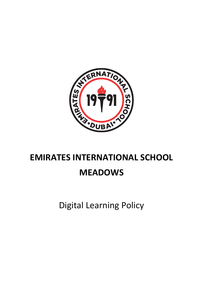

# **EMIRATES INTERNATIONAL SCHOOL**

## **MEADOWS**

Digital Learning Policy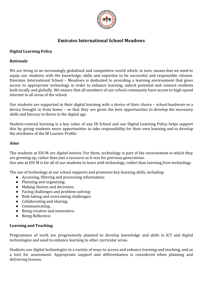

### **Emirates International School Meadows**

#### **Digital Learning Policy**

#### **Rationale**

We are living in an increasingly globalised and competitive world which, in turn, means that we need to equip our students with the knowledge, skills and expertise to be successful and responsible citizens. Emirates International School – Meadows is dedicated to providing a learning environment that gives access to appropriate technology in order to enhance learning, unlock potential and connect students both locally and globally. We ensure that all members of our school community have access to high-speed internet in all areas of the school.

Our students are supported in their digital learning with a device of their choice – school hardware or a device brought in from home – so that they are given the best opportunities to develop the necessary skills and literacy to thrive in the digital age.

Student-centred learning is a key value of any IB School and our Digital Learning Policy helps support this by giving students more opportunities to take responsibility for their own learning and to develop the attributes of the IB Learner Profile.

#### **Aims**

The students at EIS-M are *digital-natives*. For them, technology is part of the environment in which they are growing up, rather than just a resource as it was for previous generations. Our aim at EIS-M is for all of our students to learn *with* technology, rather than learning *from* technology.

The use of technology at our school supports and promotes key learning skills, including:

- Accessing, filtering and processing information;
- Planning and organising;
- Making choices and decisions;
- Facing challenges and problem-solving;
- Risk-taking and overcoming challenges;
- Collaborating and sharing;
- Communicating;
- Being creative and innovative;
- Being Reflective;

#### **Learning and Teaching**

Programmes of work are progressively planned to develop knowledge and skills in ICT and digital technologies and used to enhance learning in other curricular areas.

Students use digital technologies in a variety of ways to access and enhance learning and teaching, and as a tool for assessment. Appropriate support and differentiation is considered when planning and delivering lessons.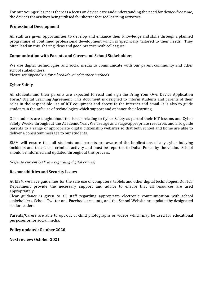For our younger learners there is a focus on device care and understanding the need for device-free time, the devices themselves being utilised for shorter focused learning activities.

#### **Professional Development**

All staff are given opportunities to develop and enhance their knowledge and skills through a planned programme of continued professional development which is specifically tailored to their needs. They often lead on this, sharing ideas and good practice with colleagues.

#### **Communication with Parents and Carers and School Stakeholders**

We use digital technologies and social media to communicate with our parent community and other school stakeholders. *Please see Appendix A for a breakdown of contact methods.*

#### **Cyber Safety**

All students and their parents are expected to read and sign the Bring Your Own Device Application Form/ Digital Learning Agreement. This document is designed to inform students and parents of their roles in the responsible use of ICT equipment and access to the internet and email. It is also to guide students in the safe use of technologies which support and enhance their learning.

Our students are taught about the issues relating to Cyber Safety as part of their ICT lessons and Cyber Safety Weeks throughout the Academic Year. We use age and stage-appropriate resources and also guide parents to a range of appropriate digital citizenship websites so that both school and home are able to deliver a consistent message to our students.

EISM will ensure that all students and parents are aware of the implications of any cyber bullying incidents and that it is a criminal activity and must be reported to Dubai Police by the victim. School should be informed and updated throughout this process.

*(Refer to current UAE law regarding digital crimes)*

#### **Responsibilities and Security Issues**

At EISM we have guidelines for the safe use of computers, tablets and other digital technologies. Our ICT Department provide the necessary support and advice to ensure that all resources are used appropriately.

Clear guidance is given to all staff regarding appropriate electronic communication with school stakeholders. School Twitter and Facebook accounts, and the School Website are updated by designated senior leaders.

Parents/Carers are able to opt out of child photographs or videos which may be used for educational purposes or for social media.

#### **Policy updated: October 2020**

**Next review: October 2021**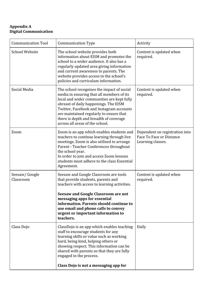#### **Appendix A Digital Communication**

| <b>Communication Tool</b>  | <b>Communication Type</b>                                                                                                                                                                                                                                                                                                                          | Activity                                                                        |
|----------------------------|----------------------------------------------------------------------------------------------------------------------------------------------------------------------------------------------------------------------------------------------------------------------------------------------------------------------------------------------------|---------------------------------------------------------------------------------|
| <b>School Website</b>      | The school website provides both<br>information about EISM and promotes the<br>school to a wider audience. It also has a<br>regularly updated area giving information<br>and current awareness to parents. The<br>website provides access to the school's<br>policies and curriculum information.                                                  | Content is updated when<br>required.                                            |
| Social Media               | The school recognises the impact of social<br>media in ensuring that all members of its<br>local and wider communities are kept fully<br>abreast of daily happenings. The EISM<br>Twitter, Facebook and Instagram accounts<br>are maintained regularly to ensure that<br>there is depth and breadth of coverage<br>across all areas of the school. | Content is updated when<br>required.                                            |
| Zoom                       | Zoom is an app which enables students and<br>teachers to continue learning through live<br>meetings. Zoom is also utilised to arrange<br>Parent - Teacher Conferences throughout<br>the school year.<br>In order to join and access Zoom lessons<br>students must adhere to the class Essential<br>Agreement.                                      | Dependent on registration into<br>Face To Face or Distance<br>Learning classes. |
| Seesaw/Google<br>Classroom | Seesaw and Google Classroom are tools<br>that provide students, parents and<br>teachers with access to learning activities.<br><b>Seesaw and Google Classroom are not</b><br>messaging apps for essential<br>information. Parents should continue to<br>use email and phone calls to convey<br>urgent or important information to<br>teachers.     | Content is updated when<br>required.                                            |
| Class Dojo                 | ClassDojo is an app which enables teaching<br>staff to encourage students for any<br>learning skills or value such as working<br>hard, being kind, helping others or<br>showing respect. This information can be<br>shared with parents so that they are fully<br>engaged in the process.<br>Class Dojo is not a messaging app for                 | Daily                                                                           |